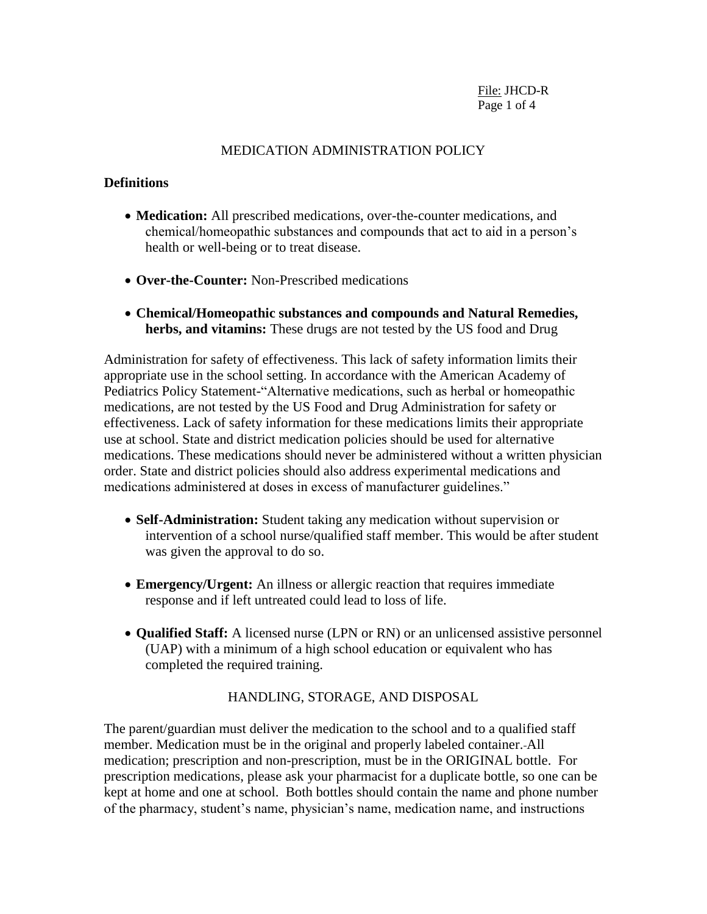### MEDICATION ADMINISTRATION POLICY

#### **Definitions**

- **Medication:** All prescribed medications, over-the-counter medications, and chemical/homeopathic substances and compounds that act to aid in a person's health or well-being or to treat disease.
- **Over-the-Counter:** Non-Prescribed medications
- **Chemical/Homeopathic substances and compounds and Natural Remedies, herbs, and vitamins:** These drugs are not tested by the US food and Drug

Administration for safety of effectiveness. This lack of safety information limits their appropriate use in the school setting. In accordance with the American Academy of Pediatrics Policy Statement-"Alternative medications, such as herbal or homeopathic medications, are not tested by the US Food and Drug Administration for safety or effectiveness. Lack of safety information for these medications limits their appropriate use at school. State and district medication policies should be used for alternative medications. These medications should never be administered without a written physician order. State and district policies should also address experimental medications and medications administered at doses in excess of manufacturer guidelines."

- **Self-Administration:** Student taking any medication without supervision or intervention of a school nurse/qualified staff member. This would be after student was given the approval to do so.
- **Emergency/Urgent:** An illness or allergic reaction that requires immediate response and if left untreated could lead to loss of life.
- **Qualified Staff:** A licensed nurse (LPN or RN) or an unlicensed assistive personnel (UAP) with a minimum of a high school education or equivalent who has completed the required training.

### HANDLING, STORAGE, AND DISPOSAL

The parent/guardian must deliver the medication to the school and to a qualified staff member. Medication must be in the original and properly labeled container. All medication; prescription and non-prescription, must be in the ORIGINAL bottle. For prescription medications, please ask your pharmacist for a duplicate bottle, so one can be kept at home and one at school. Both bottles should contain the name and phone number of the pharmacy, student's name, physician's name, medication name, and instructions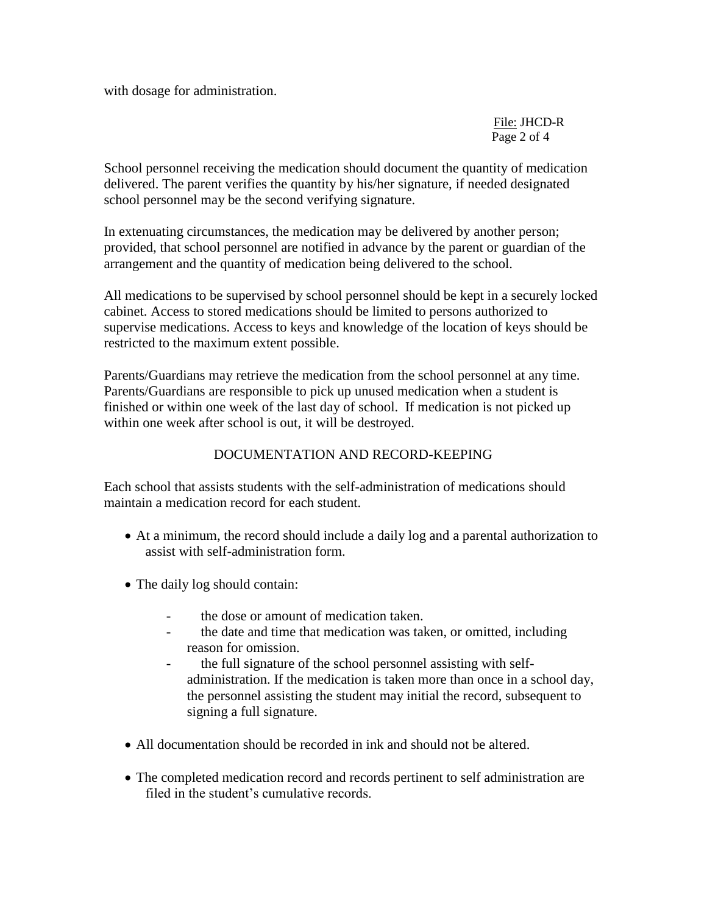with dosage for administration.

File: JHCD-R Page 2 of 4

School personnel receiving the medication should document the quantity of medication delivered. The parent verifies the quantity by his/her signature, if needed designated school personnel may be the second verifying signature.

In extenuating circumstances, the medication may be delivered by another person; provided, that school personnel are notified in advance by the parent or guardian of the arrangement and the quantity of medication being delivered to the school.

All medications to be supervised by school personnel should be kept in a securely locked cabinet. Access to stored medications should be limited to persons authorized to supervise medications. Access to keys and knowledge of the location of keys should be restricted to the maximum extent possible.

Parents/Guardians may retrieve the medication from the school personnel at any time. Parents/Guardians are responsible to pick up unused medication when a student is finished or within one week of the last day of school. If medication is not picked up within one week after school is out, it will be destroyed.

## DOCUMENTATION AND RECORD-KEEPING

Each school that assists students with the self-administration of medications should maintain a medication record for each student.

- At a minimum, the record should include a daily log and a parental authorization to assist with self-administration form.
- The daily log should contain:
	- the dose or amount of medication taken.
	- the date and time that medication was taken, or omitted, including reason for omission.
	- the full signature of the school personnel assisting with selfadministration. If the medication is taken more than once in a school day, the personnel assisting the student may initial the record, subsequent to signing a full signature.
- All documentation should be recorded in ink and should not be altered.
- The completed medication record and records pertinent to self administration are filed in the student's cumulative records.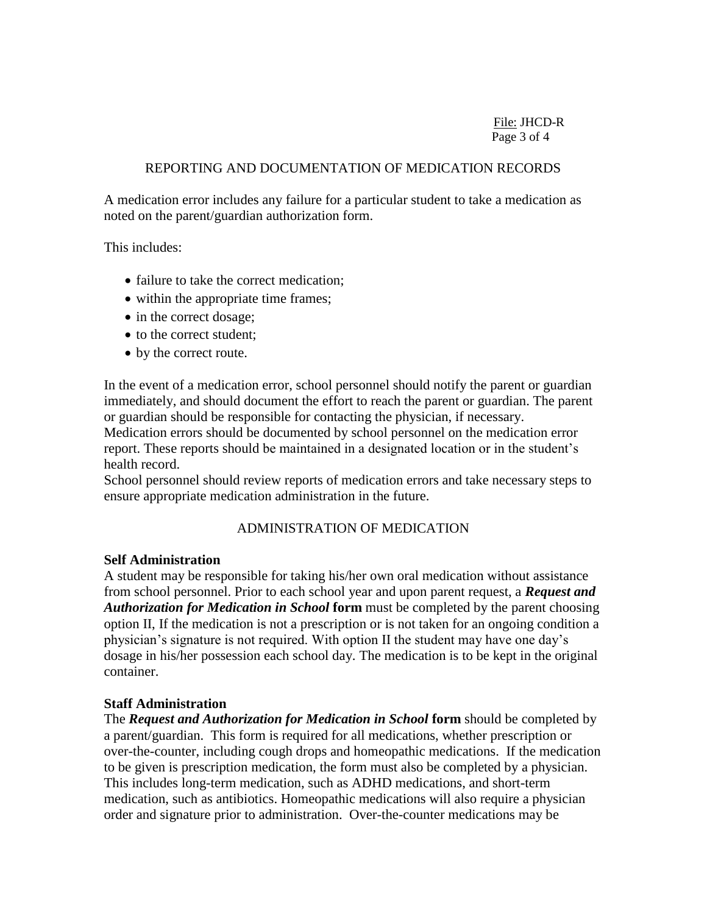## REPORTING AND DOCUMENTATION OF MEDICATION RECORDS

A medication error includes any failure for a particular student to take a medication as noted on the parent/guardian authorization form.

This includes:

- failure to take the correct medication;
- within the appropriate time frames;
- in the correct dosage;
- to the correct student;
- by the correct route.

In the event of a medication error, school personnel should notify the parent or guardian immediately, and should document the effort to reach the parent or guardian. The parent or guardian should be responsible for contacting the physician, if necessary.

Medication errors should be documented by school personnel on the medication error report. These reports should be maintained in a designated location or in the student's health record.

School personnel should review reports of medication errors and take necessary steps to ensure appropriate medication administration in the future.

# ADMINISTRATION OF MEDICATION

# **Self Administration**

A student may be responsible for taking his/her own oral medication without assistance from school personnel. Prior to each school year and upon parent request, a *Request and Authorization for Medication in School* **form** must be completed by the parent choosing option II, If the medication is not a prescription or is not taken for an ongoing condition a physician's signature is not required. With option II the student may have one day's dosage in his/her possession each school day. The medication is to be kept in the original container.

# **Staff Administration**

The *Request and Authorization for Medication in School* **form** should be completed by a parent/guardian. This form is required for all medications, whether prescription or over-the-counter, including cough drops and homeopathic medications. If the medication to be given is prescription medication, the form must also be completed by a physician. This includes long-term medication, such as ADHD medications, and short-term medication, such as antibiotics. Homeopathic medications will also require a physician order and signature prior to administration. Over-the-counter medications may be